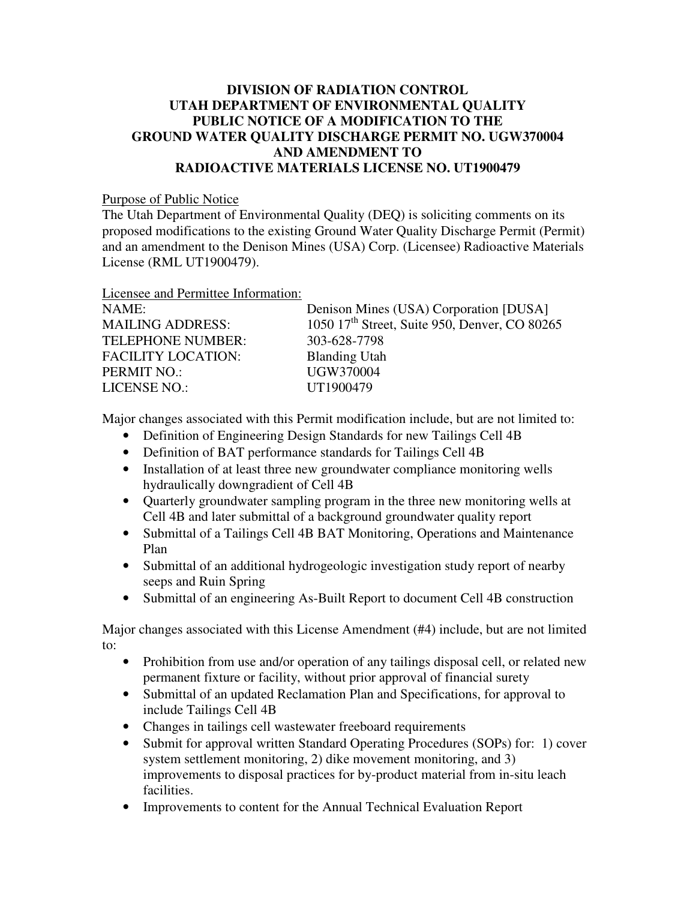## **DIVISION OF RADIATION CONTROL UTAH DEPARTMENT OF ENVIRONMENTAL QUALITY PUBLIC NOTICE OF A MODIFICATION TO THE GROUND WATER QUALITY DISCHARGE PERMIT NO. UGW370004 AND AMENDMENT TO RADIOACTIVE MATERIALS LICENSE NO. UT1900479**

Purpose of Public Notice

The Utah Department of Environmental Quality (DEQ) is soliciting comments on its proposed modifications to the existing Ground Water Quality Discharge Permit (Permit) and an amendment to the Denison Mines (USA) Corp. (Licensee) Radioactive Materials License (RML UT1900479).

Licensee and Permittee Information: NAME: Denison Mines (USA) Corporation [DUSA] MAILING ADDRESS:  $1050 \frac{17^{\text{th}}}{\text{Street}}$ , Suite 950, Denver, CO 80265 TELEPHONE NUMBER: 303-628-7798 FACILITY LOCATION: Blanding Utah PERMIT NO.: UGW370004 LICENSE NO.: UT1900479

Major changes associated with this Permit modification include, but are not limited to:

- Definition of Engineering Design Standards for new Tailings Cell 4B
- Definition of BAT performance standards for Tailings Cell 4B
- Installation of at least three new groundwater compliance monitoring wells hydraulically downgradient of Cell 4B
- Quarterly groundwater sampling program in the three new monitoring wells at Cell 4B and later submittal of a background groundwater quality report
- Submittal of a Tailings Cell 4B BAT Monitoring, Operations and Maintenance Plan
- Submittal of an additional hydrogeologic investigation study report of nearby seeps and Ruin Spring
- Submittal of an engineering As-Built Report to document Cell 4B construction

Major changes associated with this License Amendment (#4) include, but are not limited to:

- Prohibition from use and/or operation of any tailings disposal cell, or related new permanent fixture or facility, without prior approval of financial surety
- Submittal of an updated Reclamation Plan and Specifications, for approval to include Tailings Cell 4B
- Changes in tailings cell wastewater freeboard requirements
- Submit for approval written Standard Operating Procedures (SOPs) for: 1) cover system settlement monitoring, 2) dike movement monitoring, and 3) improvements to disposal practices for by-product material from in-situ leach facilities.
- Improvements to content for the Annual Technical Evaluation Report